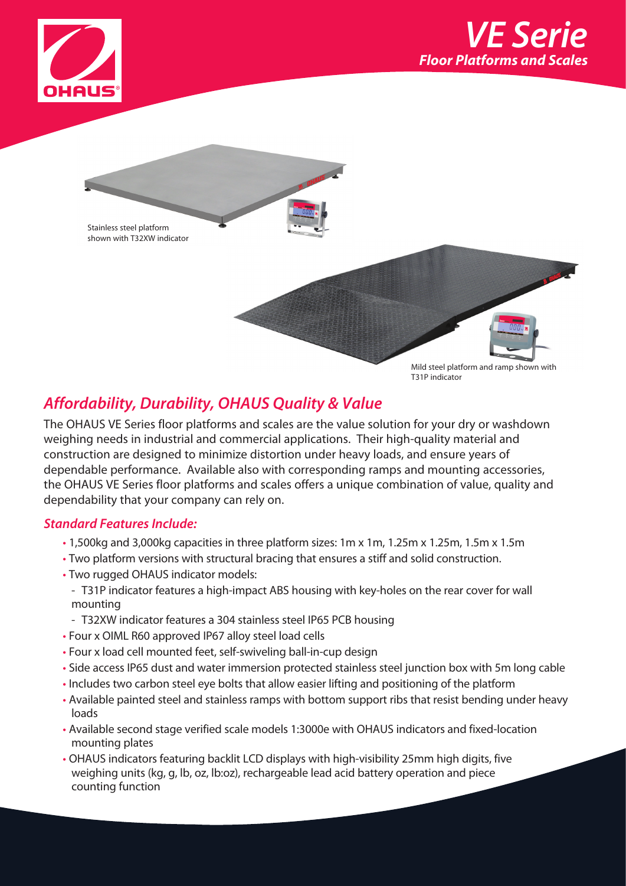





T31P indicator

# *Affordability, Durability, OHAUS Quality & Value*

The OHAUS VE Series floor platforms and scales are the value solution for your dry or washdown weighing needs in industrial and commercial applications. Their high-quality material and construction are designed to minimize distortion under heavy loads, and ensure years of dependable performance. Available also with corresponding ramps and mounting accessories, the OHAUS VE Series floor platforms and scales offers a unique combination of value, quality and dependability that your company can rely on.

## *Standard Features Include:*

- 1,500kg and 3,000kg capacities in three platform sizes: 1m x 1m, 1.25m x 1.25m, 1.5m x 1.5m
- Two platform versions with structural bracing that ensures a stiff and solid construction.
- Two rugged OHAUS indicator models:
- T31P indicator features a high-impact ABS housing with key-holes on the rear cover for wall mounting
- T32XW indicator features a 304 stainless steel IP65 PCB housing
- Four x OIML R60 approved IP67 alloy steel load cells
- Four x load cell mounted feet, self-swiveling ball-in-cup design
- Side access IP65 dust and water immersion protected stainless steel junction box with 5m long cable
- Includes two carbon steel eye bolts that allow easier lifting and positioning of the platform
- Available painted steel and stainless ramps with bottom support ribs that resist bending under heavy loads
- Available second stage verified scale models 1:3000e with OHAUS indicators and fixed-location mounting plates
- OHAUS indicators featuring backlit LCD displays with high-visibility 25mm high digits, five weighing units (kg, g, lb, oz, lb:oz), rechargeable lead acid battery operation and piece counting function